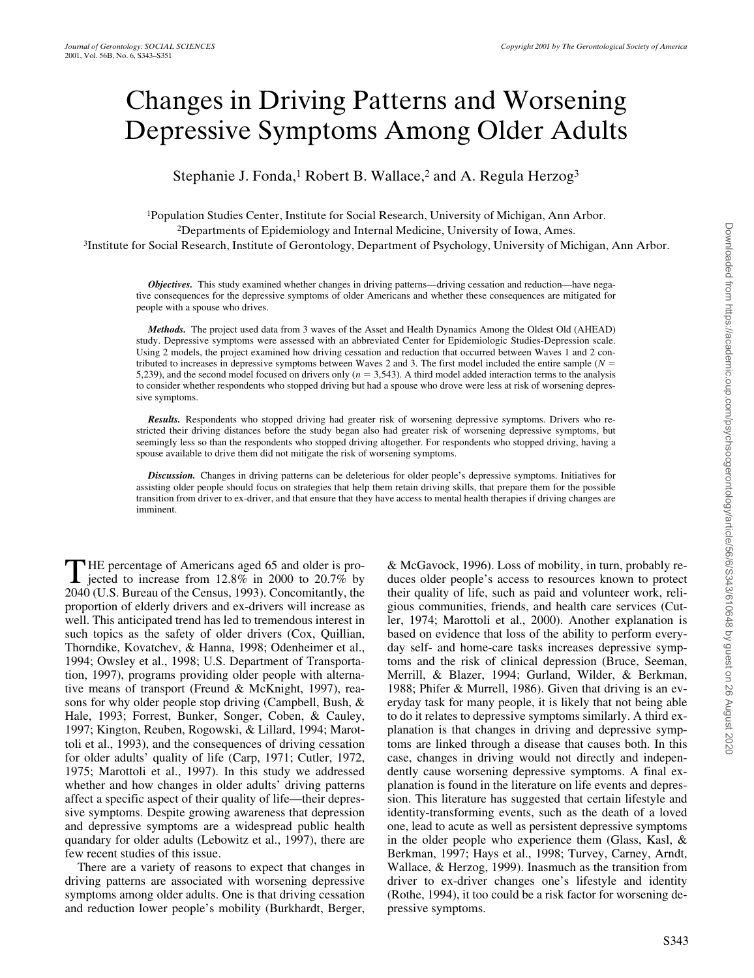# Changes in Driving Patterns and Worsening Depressive Symptoms Among Older Adults

Stephanie J. Fonda,<sup>1</sup> Robert B. Wallace,<sup>2</sup> and A. Regula Herzog<sup>3</sup>

1Population Studies Center, Institute for Social Research, University of Michigan, Ann Arbor. 2Departments of Epidemiology and Internal Medicine, University of Iowa, Ames. 3Institute for Social Research, Institute of Gerontology, Department of Psychology, University of Michigan, Ann Arbor.

*Objectives.* This study examined whether changes in driving patterns—driving cessation and reduction—have negative consequences for the depressive symptoms of older Americans and whether these consequences are mitigated for people with a spouse who drives.

*Methods.* The project used data from 3 waves of the Asset and Health Dynamics Among the Oldest Old (AHEAD) study. Depressive symptoms were assessed with an abbreviated Center for Epidemiologic Studies-Depression scale. Using 2 models, the project examined how driving cessation and reduction that occurred between Waves 1 and 2 contributed to increases in depressive symptoms between Waves 2 and 3. The first model included the entire sample  $(N =$ 5,239), and the second model focused on drivers only  $(n = 3,543)$ . A third model added interaction terms to the analysis to consider whether respondents who stopped driving but had a spouse who drove were less at risk of worsening depressive symptoms.

*Results.* Respondents who stopped driving had greater risk of worsening depressive symptoms. Drivers who restricted their driving distances before the study began also had greater risk of worsening depressive symptoms, but seemingly less so than the respondents who stopped driving altogether. For respondents who stopped driving, having a spouse available to drive them did not mitigate the risk of worsening symptoms.

*Discussion.* Changes in driving patterns can be deleterious for older people's depressive symptoms. Initiatives for assisting older people should focus on strategies that help them retain driving skills, that prepare them for the possible transition from driver to ex-driver, and that ensure that they have access to mental health therapies if driving changes are imminent.

HE percentage of Americans aged 65 and older is pro-**T**HE percentage of Americans aged 65 and older is pro-<br>jected to increase from 12.8% in 2000 to 20.7% by 2040 (U.S. Bureau of the Census, 1993). Concomitantly, the proportion of elderly drivers and ex-drivers will increase as well. This anticipated trend has led to tremendous interest in such topics as the safety of older drivers (Cox, Quillian, Thorndike, Kovatchev, & Hanna, 1998; Odenheimer et al., 1994; Owsley et al., 1998; U.S. Department of Transportation, 1997), programs providing older people with alternative means of transport (Freund & McKnight, 1997), reasons for why older people stop driving (Campbell, Bush, & Hale, 1993; Forrest, Bunker, Songer, Coben, & Cauley, 1997; Kington, Reuben, Rogowski, & Lillard, 1994; Marottoli et al., 1993), and the consequences of driving cessation for older adults' quality of life (Carp, 1971; Cutler, 1972, 1975; Marottoli et al., 1997). In this study we addressed whether and how changes in older adults' driving patterns affect a specific aspect of their quality of life—their depressive symptoms. Despite growing awareness that depression and depressive symptoms are a widespread public health quandary for older adults (Lebowitz et al., 1997), there are few recent studies of this issue.

There are a variety of reasons to expect that changes in driving patterns are associated with worsening depressive symptoms among older adults. One is that driving cessation and reduction lower people's mobility (Burkhardt, Berger, & McGavock, 1996). Loss of mobility, in turn, probably reduces older people's access to resources known to protect their quality of life, such as paid and volunteer work, religious communities, friends, and health care services (Cutler, 1974; Marottoli et al., 2000). Another explanation is based on evidence that loss of the ability to perform everyday self- and home-care tasks increases depressive symptoms and the risk of clinical depression (Bruce, Seeman, Merrill, & Blazer, 1994; Gurland, Wilder, & Berkman, 1988; Phifer & Murrell, 1986). Given that driving is an everyday task for many people, it is likely that not being able to do it relates to depressive symptoms similarly. A third explanation is that changes in driving and depressive symptoms are linked through a disease that causes both. In this case, changes in driving would not directly and independently cause worsening depressive symptoms. A final explanation is found in the literature on life events and depression. This literature has suggested that certain lifestyle and identity-transforming events, such as the death of a loved one, lead to acute as well as persistent depressive symptoms in the older people who experience them (Glass, Kasl, & Berkman, 1997; Hays et al., 1998; Turvey, Carney, Arndt, Wallace, & Herzog, 1999). Inasmuch as the transition from driver to ex-driver changes one's lifestyle and identity (Rothe, 1994), it too could be a risk factor for worsening depressive symptoms.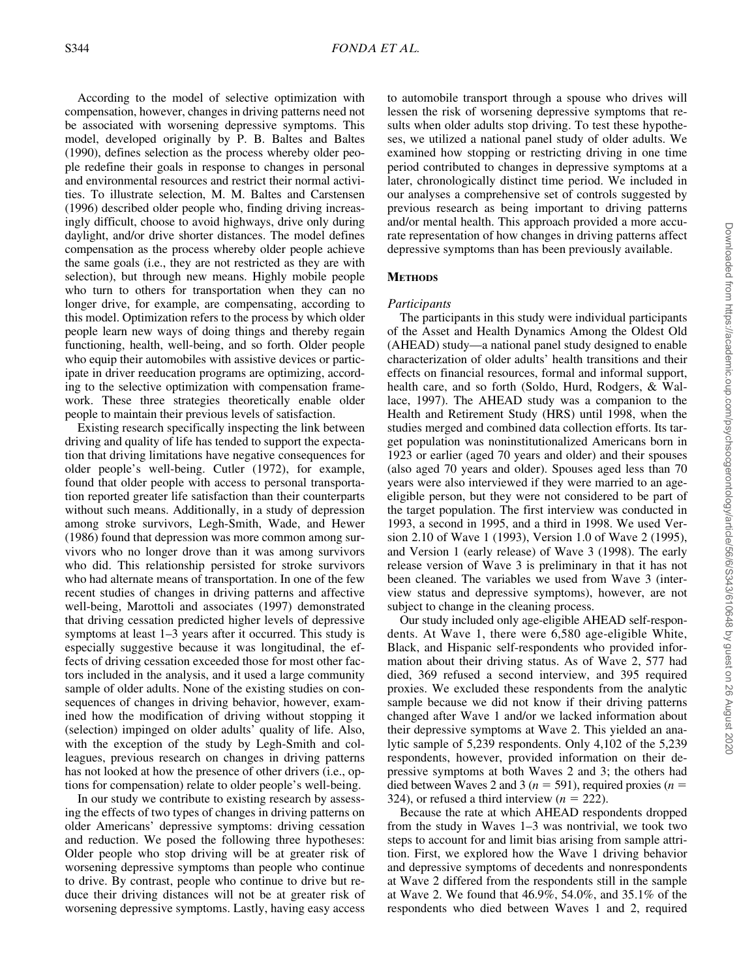According to the model of selective optimization with compensation, however, changes in driving patterns need not be associated with worsening depressive symptoms. This model, developed originally by P. B. Baltes and Baltes (1990), defines selection as the process whereby older people redefine their goals in response to changes in personal and environmental resources and restrict their normal activities. To illustrate selection, M. M. Baltes and Carstensen (1996) described older people who, finding driving increasingly difficult, choose to avoid highways, drive only during daylight, and/or drive shorter distances. The model defines compensation as the process whereby older people achieve the same goals (i.e., they are not restricted as they are with selection), but through new means. Highly mobile people who turn to others for transportation when they can no longer drive, for example, are compensating, according to this model. Optimization refers to the process by which older people learn new ways of doing things and thereby regain functioning, health, well-being, and so forth. Older people who equip their automobiles with assistive devices or participate in driver reeducation programs are optimizing, according to the selective optimization with compensation framework. These three strategies theoretically enable older people to maintain their previous levels of satisfaction.

Existing research specifically inspecting the link between driving and quality of life has tended to support the expectation that driving limitations have negative consequences for older people's well-being. Cutler (1972), for example, found that older people with access to personal transportation reported greater life satisfaction than their counterparts without such means. Additionally, in a study of depression among stroke survivors, Legh-Smith, Wade, and Hewer (1986) found that depression was more common among survivors who no longer drove than it was among survivors who did. This relationship persisted for stroke survivors who had alternate means of transportation. In one of the few recent studies of changes in driving patterns and affective well-being, Marottoli and associates (1997) demonstrated that driving cessation predicted higher levels of depressive symptoms at least 1–3 years after it occurred. This study is especially suggestive because it was longitudinal, the effects of driving cessation exceeded those for most other factors included in the analysis, and it used a large community sample of older adults. None of the existing studies on consequences of changes in driving behavior, however, examined how the modification of driving without stopping it (selection) impinged on older adults' quality of life. Also, with the exception of the study by Legh-Smith and colleagues, previous research on changes in driving patterns has not looked at how the presence of other drivers (i.e., options for compensation) relate to older people's well-being.

In our study we contribute to existing research by assessing the effects of two types of changes in driving patterns on older Americans' depressive symptoms: driving cessation and reduction. We posed the following three hypotheses: Older people who stop driving will be at greater risk of worsening depressive symptoms than people who continue to drive. By contrast, people who continue to drive but reduce their driving distances will not be at greater risk of worsening depressive symptoms. Lastly, having easy access to automobile transport through a spouse who drives will lessen the risk of worsening depressive symptoms that results when older adults stop driving. To test these hypotheses, we utilized a national panel study of older adults. We examined how stopping or restricting driving in one time period contributed to changes in depressive symptoms at a later, chronologically distinct time period. We included in our analyses a comprehensive set of controls suggested by previous research as being important to driving patterns and/or mental health. This approach provided a more accurate representation of how changes in driving patterns affect depressive symptoms than has been previously available.

### **METHODS**

#### *Participants*

The participants in this study were individual participants of the Asset and Health Dynamics Among the Oldest Old (AHEAD) study—a national panel study designed to enable characterization of older adults' health transitions and their effects on financial resources, formal and informal support, health care, and so forth (Soldo, Hurd, Rodgers, & Wallace, 1997). The AHEAD study was a companion to the Health and Retirement Study (HRS) until 1998, when the studies merged and combined data collection efforts. Its target population was noninstitutionalized Americans born in 1923 or earlier (aged 70 years and older) and their spouses (also aged 70 years and older). Spouses aged less than 70 years were also interviewed if they were married to an ageeligible person, but they were not considered to be part of the target population. The first interview was conducted in 1993, a second in 1995, and a third in 1998. We used Version 2.10 of Wave 1 (1993), Version 1.0 of Wave 2 (1995), and Version 1 (early release) of Wave 3 (1998). The early release version of Wave 3 is preliminary in that it has not been cleaned. The variables we used from Wave 3 (interview status and depressive symptoms), however, are not subject to change in the cleaning process.

Our study included only age-eligible AHEAD self-respondents. At Wave 1, there were 6,580 age-eligible White, Black, and Hispanic self-respondents who provided information about their driving status. As of Wave 2, 577 had died, 369 refused a second interview, and 395 required proxies. We excluded these respondents from the analytic sample because we did not know if their driving patterns changed after Wave 1 and/or we lacked information about their depressive symptoms at Wave 2. This yielded an analytic sample of 5,239 respondents. Only 4,102 of the 5,239 respondents, however, provided information on their depressive symptoms at both Waves 2 and 3; the others had died between Waves 2 and 3 ( $n = 591$ ), required proxies ( $n =$ 324), or refused a third interview  $(n = 222)$ .

Because the rate at which AHEAD respondents dropped from the study in Waves 1–3 was nontrivial, we took two steps to account for and limit bias arising from sample attrition. First, we explored how the Wave 1 driving behavior and depressive symptoms of decedents and nonrespondents at Wave 2 differed from the respondents still in the sample at Wave 2. We found that 46.9%, 54.0%, and 35.1% of the respondents who died between Waves 1 and 2, required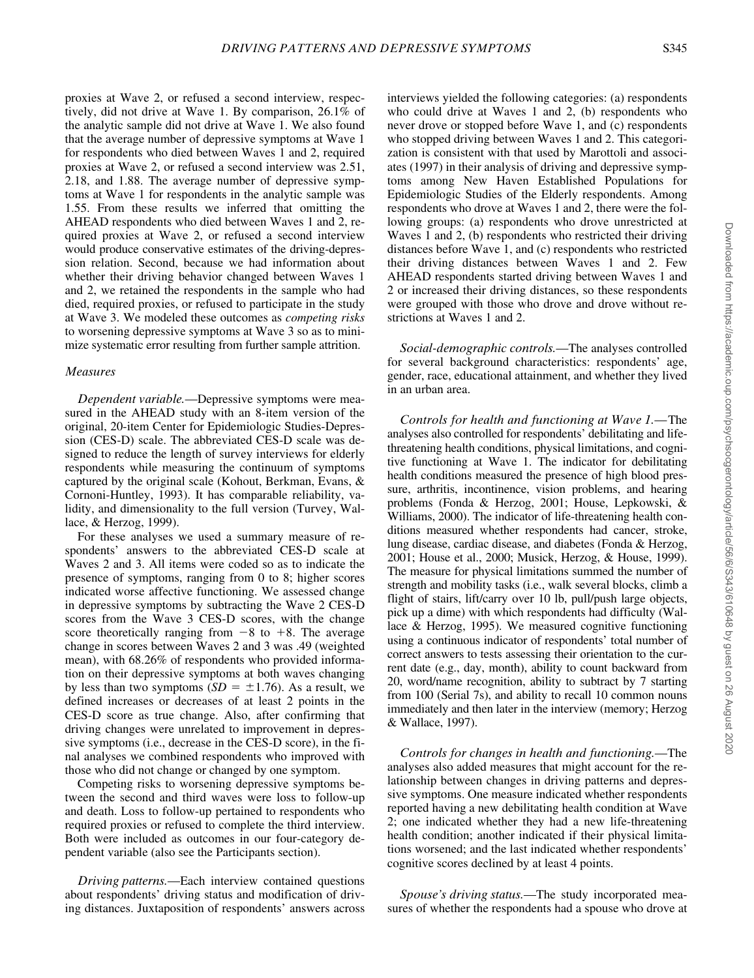proxies at Wave 2, or refused a second interview, respectively, did not drive at Wave 1. By comparison, 26.1% of the analytic sample did not drive at Wave 1. We also found that the average number of depressive symptoms at Wave 1 for respondents who died between Waves 1 and 2, required proxies at Wave 2, or refused a second interview was 2.51, 2.18, and 1.88. The average number of depressive symptoms at Wave 1 for respondents in the analytic sample was 1.55. From these results we inferred that omitting the AHEAD respondents who died between Waves 1 and 2, required proxies at Wave 2, or refused a second interview would produce conservative estimates of the driving-depression relation. Second, because we had information about whether their driving behavior changed between Waves 1 and 2, we retained the respondents in the sample who had died, required proxies, or refused to participate in the study at Wave 3. We modeled these outcomes as *competing risks* to worsening depressive symptoms at Wave 3 so as to minimize systematic error resulting from further sample attrition.

#### *Measures*

*Dependent variable.—*Depressive symptoms were measured in the AHEAD study with an 8-item version of the original, 20-item Center for Epidemiologic Studies-Depression (CES-D) scale. The abbreviated CES-D scale was designed to reduce the length of survey interviews for elderly respondents while measuring the continuum of symptoms captured by the original scale (Kohout, Berkman, Evans, & Cornoni-Huntley, 1993). It has comparable reliability, validity, and dimensionality to the full version (Turvey, Wallace, & Herzog, 1999).

For these analyses we used a summary measure of respondents' answers to the abbreviated CES-D scale at Waves 2 and 3. All items were coded so as to indicate the presence of symptoms, ranging from 0 to 8; higher scores indicated worse affective functioning. We assessed change in depressive symptoms by subtracting the Wave 2 CES-D scores from the Wave 3 CES-D scores, with the change score theoretically ranging from  $-8$  to  $+8$ . The average change in scores between Waves 2 and 3 was .49 (weighted mean), with 68.26% of respondents who provided information on their depressive symptoms at both waves changing by less than two symptoms  $(SD = \pm 1.76)$ . As a result, we defined increases or decreases of at least 2 points in the CES-D score as true change. Also, after confirming that driving changes were unrelated to improvement in depressive symptoms (i.e., decrease in the CES-D score), in the final analyses we combined respondents who improved with those who did not change or changed by one symptom.

Competing risks to worsening depressive symptoms between the second and third waves were loss to follow-up and death. Loss to follow-up pertained to respondents who required proxies or refused to complete the third interview. Both were included as outcomes in our four-category dependent variable (also see the Participants section).

*Driving patterns.—*Each interview contained questions about respondents' driving status and modification of driving distances. Juxtaposition of respondents' answers across interviews yielded the following categories: (a) respondents who could drive at Waves 1 and 2, (b) respondents who never drove or stopped before Wave 1, and (c) respondents who stopped driving between Waves 1 and 2. This categorization is consistent with that used by Marottoli and associates (1997) in their analysis of driving and depressive symptoms among New Haven Established Populations for Epidemiologic Studies of the Elderly respondents. Among respondents who drove at Waves 1 and 2, there were the following groups: (a) respondents who drove unrestricted at Waves 1 and 2, (b) respondents who restricted their driving distances before Wave 1, and (c) respondents who restricted their driving distances between Waves 1 and 2. Few AHEAD respondents started driving between Waves 1 and 2 or increased their driving distances, so these respondents were grouped with those who drove and drove without restrictions at Waves 1 and 2.

*Social-demographic controls.—*The analyses controlled for several background characteristics: respondents' age, gender, race, educational attainment, and whether they lived in an urban area.

*Controls for health and functioning at Wave 1.—*The analyses also controlled for respondents' debilitating and lifethreatening health conditions, physical limitations, and cognitive functioning at Wave 1. The indicator for debilitating health conditions measured the presence of high blood pressure, arthritis, incontinence, vision problems, and hearing problems (Fonda & Herzog, 2001; House, Lepkowski, & Williams, 2000). The indicator of life-threatening health conditions measured whether respondents had cancer, stroke, lung disease, cardiac disease, and diabetes (Fonda & Herzog, 2001; House et al., 2000; Musick, Herzog, & House, 1999). The measure for physical limitations summed the number of strength and mobility tasks (i.e., walk several blocks, climb a flight of stairs, lift/carry over 10 lb, pull/push large objects, pick up a dime) with which respondents had difficulty (Wallace & Herzog, 1995). We measured cognitive functioning using a continuous indicator of respondents' total number of correct answers to tests assessing their orientation to the current date (e.g., day, month), ability to count backward from 20, word/name recognition, ability to subtract by 7 starting from 100 (Serial 7s), and ability to recall 10 common nouns immediately and then later in the interview (memory; Herzog & Wallace, 1997).

*Controls for changes in health and functioning.—*The analyses also added measures that might account for the relationship between changes in driving patterns and depressive symptoms. One measure indicated whether respondents reported having a new debilitating health condition at Wave 2; one indicated whether they had a new life-threatening health condition; another indicated if their physical limitations worsened; and the last indicated whether respondents' cognitive scores declined by at least 4 points.

*Spouse's driving status.—*The study incorporated measures of whether the respondents had a spouse who drove at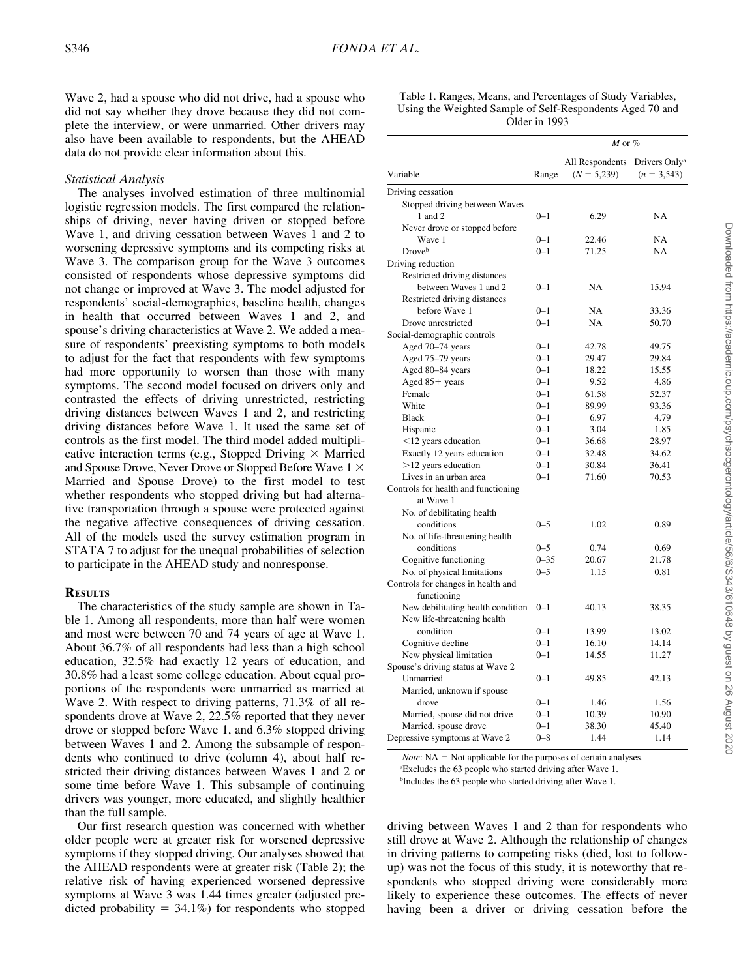Wave 2, had a spouse who did not drive, had a spouse who did not say whether they drove because they did not complete the interview, or were unmarried. Other drivers may also have been available to respondents, but the AHEAD data do not provide clear information about this.

#### *Statistical Analysis*

The analyses involved estimation of three multinomial logistic regression models. The first compared the relationships of driving, never having driven or stopped before Wave 1, and driving cessation between Waves 1 and 2 to worsening depressive symptoms and its competing risks at Wave 3. The comparison group for the Wave 3 outcomes consisted of respondents whose depressive symptoms did not change or improved at Wave 3. The model adjusted for respondents' social-demographics, baseline health, changes in health that occurred between Waves 1 and 2, and spouse's driving characteristics at Wave 2. We added a measure of respondents' preexisting symptoms to both models to adjust for the fact that respondents with few symptoms had more opportunity to worsen than those with many symptoms. The second model focused on drivers only and contrasted the effects of driving unrestricted, restricting driving distances between Waves 1 and 2, and restricting driving distances before Wave 1. It used the same set of controls as the first model. The third model added multiplicative interaction terms (e.g., Stopped Driving  $\times$  Married and Spouse Drove, Never Drove or Stopped Before Wave  $1 \times$ Married and Spouse Drove) to the first model to test whether respondents who stopped driving but had alternative transportation through a spouse were protected against the negative affective consequences of driving cessation. All of the models used the survey estimation program in STATA 7 to adjust for the unequal probabilities of selection to participate in the AHEAD study and nonresponse.

#### **RESULTS**

The characteristics of the study sample are shown in Table 1. Among all respondents, more than half were women and most were between 70 and 74 years of age at Wave 1. About 36.7% of all respondents had less than a high school education, 32.5% had exactly 12 years of education, and 30.8% had a least some college education. About equal proportions of the respondents were unmarried as married at Wave 2. With respect to driving patterns, 71.3% of all respondents drove at Wave 2, 22.5% reported that they never drove or stopped before Wave 1, and 6.3% stopped driving between Waves 1 and 2. Among the subsample of respondents who continued to drive (column 4), about half restricted their driving distances between Waves 1 and 2 or some time before Wave 1. This subsample of continuing drivers was younger, more educated, and slightly healthier than the full sample.

Our first research question was concerned with whether older people were at greater risk for worsened depressive symptoms if they stopped driving. Our analyses showed that the AHEAD respondents were at greater risk (Table 2); the relative risk of having experienced worsened depressive symptoms at Wave 3 was 1.44 times greater (adjusted predicted probability  $= 34.1\%$ ) for respondents who stopped

| Table 1. Ranges, Means, and Percentages of Study Variables, |
|-------------------------------------------------------------|
| Using the Weighted Sample of Self-Respondents Aged 70 and   |
| Older in 1993                                               |

|                                     |          | $M$ or $%$                       |                                            |
|-------------------------------------|----------|----------------------------------|--------------------------------------------|
| Variable                            | Range    | All Respondents<br>$(N = 5,239)$ | Drivers Only <sup>a</sup><br>$(n = 3,543)$ |
| Driving cessation                   |          |                                  |                                            |
| Stopped driving between Waves       |          |                                  |                                            |
| 1 and 2                             | $0 - 1$  | 6.29                             | NA                                         |
| Never drove or stopped before       |          |                                  |                                            |
| Wave 1                              | $0 - 1$  | 22.46                            | NA                                         |
| Droveb                              | $0 - 1$  | 71.25                            | NA                                         |
| Driving reduction                   |          |                                  |                                            |
| Restricted driving distances        |          |                                  |                                            |
| between Waves 1 and 2               | $0 - 1$  | NA                               | 15.94                                      |
| Restricted driving distances        |          |                                  |                                            |
| before Wave 1                       | $0 - 1$  | <b>NA</b>                        | 33.36                                      |
| Drove unrestricted                  | $0 - 1$  | <b>NA</b>                        | 50.70                                      |
| Social-demographic controls         |          |                                  |                                            |
| Aged 70-74 years                    | $0 - 1$  | 42.78                            | 49.75                                      |
| Aged 75-79 years                    | $0 - 1$  | 29.47                            | 29.84                                      |
| Aged 80-84 years                    | $0 - 1$  | 18.22                            | 15.55                                      |
| Aged $85+$ years                    | $0 - 1$  | 9.52                             | 4.86                                       |
| Female                              | $0 - 1$  | 61.58                            | 52.37                                      |
| White                               | $0 - 1$  | 89.99                            | 93.36                                      |
| <b>Black</b>                        | $0 - 1$  | 6.97                             | 4.79                                       |
| Hispanic                            | $0 - 1$  | 3.04                             | 1.85                                       |
| $<$ 12 years education              | $0 - 1$  | 36.68                            | 28.97                                      |
| Exactly 12 years education          | $0 - 1$  | 32.48                            | 34.62                                      |
| $>12$ years education               | $0 - 1$  | 30.84                            | 36.41                                      |
| Lives in an urban area              | $0 - 1$  | 71.60                            | 70.53                                      |
| Controls for health and functioning |          |                                  |                                            |
| at Wave 1                           |          |                                  |                                            |
| No. of debilitating health          |          |                                  |                                            |
| conditions                          | $0 - 5$  | 1.02                             | 0.89                                       |
| No. of life-threatening health      |          |                                  |                                            |
| conditions                          | $0 - 5$  | 0.74                             | 0.69                                       |
| Cognitive functioning               | $0 - 35$ | 20.67                            | 21.78                                      |
| No. of physical limitations         | $0 - 5$  | 1.15                             | 0.81                                       |
| Controls for changes in health and  |          |                                  |                                            |
| functioning                         |          |                                  |                                            |
| New debilitating health condition   | $0 - 1$  | 40.13                            | 38.35                                      |
| New life-threatening health         |          |                                  |                                            |
| condition                           | $0 - 1$  | 13.99                            | 13.02                                      |
| Cognitive decline                   | $0 - 1$  | 16.10                            | 14.14                                      |
| New physical limitation             | $0 - 1$  | 14.55                            | 11.27                                      |
| Spouse's driving status at Wave 2   |          |                                  |                                            |
| Unmarried                           | $0 - 1$  | 49.85                            | 42.13                                      |
| Married, unknown if spouse          |          |                                  |                                            |
| drove                               | $0 - 1$  | 1.46                             | 1.56                                       |
| Married, spouse did not drive       | $0 - 1$  | 10.39                            | 10.90                                      |
| Married, spouse drove               | $0 - 1$  | 38.30                            | 45.40                                      |
| Depressive symptoms at Wave 2       | $0 - 8$  | 1.44                             | 1.14                                       |

 $Note: NA = Not applicable for the purposes of certain analyses.$ 

a Excludes the 63 people who started driving after Wave 1.

bIncludes the 63 people who started driving after Wave 1.

driving between Waves 1 and 2 than for respondents who still drove at Wave 2. Although the relationship of changes in driving patterns to competing risks (died, lost to followup) was not the focus of this study, it is noteworthy that respondents who stopped driving were considerably more likely to experience these outcomes. The effects of never having been a driver or driving cessation before the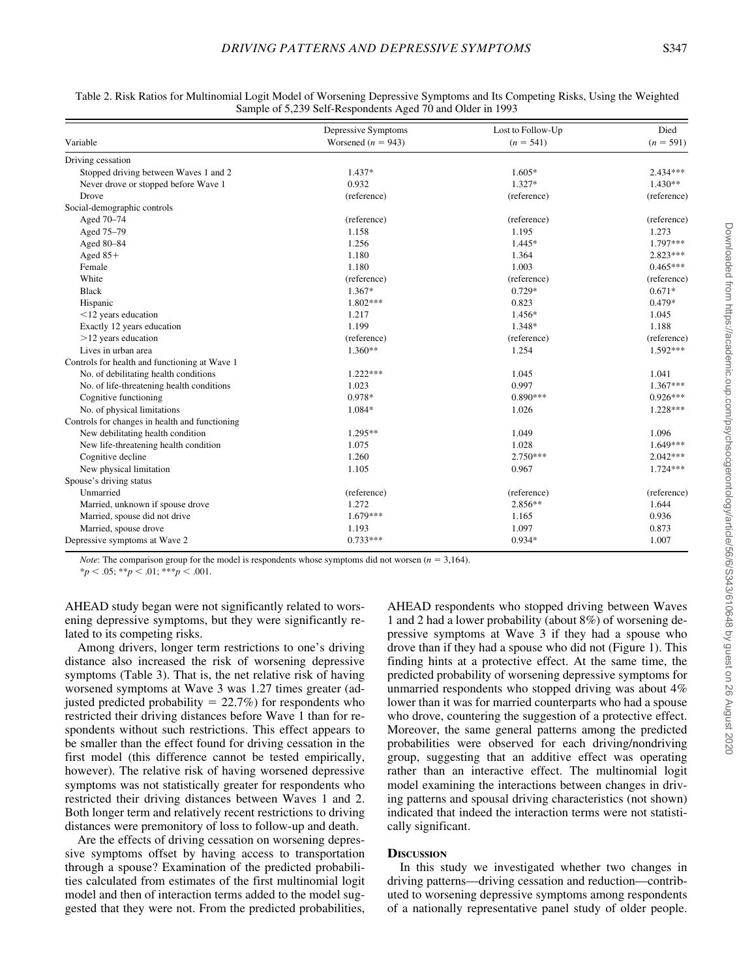|                                                | Depressive Symptoms    | Lost to Follow-Up<br>$(n = 541)$ | Died<br>$(n = 591)$ |
|------------------------------------------------|------------------------|----------------------------------|---------------------|
| Variable                                       | Worsened ( $n = 943$ ) |                                  |                     |
| Driving cessation                              |                        |                                  |                     |
| Stopped driving between Waves 1 and 2          | $1.437*$               | $1.605*$                         | $2.434***$          |
| Never drove or stopped before Wave 1           | 0.932                  | $1.327*$                         | $1.430**$           |
| Drove                                          | (reference)            | (reference)                      | (reference)         |
| Social-demographic controls                    |                        |                                  |                     |
| Aged 70-74                                     | (reference)            | (reference)                      | (reference)         |
| Aged 75-79                                     | 1.158                  | 1.195                            | 1.273               |
| Aged 80-84                                     | 1.256                  | 1.445*                           | 1.797***            |
| Aged $85+$                                     | 1.180                  | 1.364                            | $2.823***$          |
| Female                                         | 1.180                  | 1.003                            | $0.465***$          |
| White                                          | (reference)            | (reference)                      | (reference)         |
| <b>Black</b>                                   | 1.367*                 | 0.729*                           | $0.671*$            |
| Hispanic                                       | $1.802***$             | 0.823                            | $0.479*$            |
| $<$ 12 years education                         | 1.217                  | 1.456*                           | 1.045               |
| Exactly 12 years education                     | 1.199                  | 1.348*                           | 1.188               |
| $>12$ years education                          | (reference)            | (reference)                      | (reference)         |
| Lives in urban area                            | $1.360**$              | 1.254                            | $1.592***$          |
| Controls for health and functioning at Wave 1  |                        |                                  |                     |
| No. of debilitating health conditions          | $1.222***$             | 1.045                            | 1.041               |
| No. of life-threatening health conditions      | 1.023                  | 0.997                            | $1.367***$          |
| Cognitive functioning                          | 0.978*                 | $0.890***$                       | $0.926***$          |
| No. of physical limitations                    | 1.084*                 | 1.026                            | $1.228***$          |
| Controls for changes in health and functioning |                        |                                  |                     |
| New debilitating health condition              | $1.295**$              | 1.049                            | 1.096               |
| New life-threatening health condition          | 1.075                  | 1.028                            | 1.649***            |
| Cognitive decline                              | 1.260                  | $2.750***$                       | $2.042***$          |
| New physical limitation                        | 1.105                  | 0.967                            | $1.724***$          |
| Spouse's driving status                        |                        |                                  |                     |
| Unmarried                                      | (reference)            | (reference)                      | (reference)         |
| Married, unknown if spouse drove               | 1.272                  | 2.856**                          | 1.644               |
| Married, spouse did not drive                  | $1.679***$             | 1.165                            | 0.936               |
| Married, spouse drove                          | 1.193                  | 1.097                            | 0.873               |
| Depressive symptoms at Wave 2                  | $0.733***$             | $0.934*$                         | 1.007               |

Table 2. Risk Ratios for Multinomial Logit Model of Worsening Depressive Symptoms and Its Competing Risks, Using the Weighted Sample of 5,239 Self-Respondents Aged 70 and Older in 1993

*Note:* The comparison group for the model is respondents whose symptoms did not worsen  $(n = 3,164)$ .

 $*_{p}$  < .05;  $*_{p}$  < .01;  $*_{p}$  < .001.

AHEAD study began were not significantly related to worsening depressive symptoms, but they were significantly related to its competing risks.

Among drivers, longer term restrictions to one's driving distance also increased the risk of worsening depressive symptoms (Table 3). That is, the net relative risk of having worsened symptoms at Wave 3 was 1.27 times greater (adjusted predicted probability  $= 22.7\%$ ) for respondents who restricted their driving distances before Wave 1 than for respondents without such restrictions. This effect appears to be smaller than the effect found for driving cessation in the first model (this difference cannot be tested empirically, however). The relative risk of having worsened depressive symptoms was not statistically greater for respondents who restricted their driving distances between Waves 1 and 2. Both longer term and relatively recent restrictions to driving distances were premonitory of loss to follow-up and death.

Are the effects of driving cessation on worsening depressive symptoms offset by having access to transportation through a spouse? Examination of the predicted probabilities calculated from estimates of the first multinomial logit model and then of interaction terms added to the model suggested that they were not. From the predicted probabilities, AHEAD respondents who stopped driving between Waves 1 and 2 had a lower probability (about 8%) of worsening depressive symptoms at Wave 3 if they had a spouse who drove than if they had a spouse who did not (Figure 1). This finding hints at a protective effect. At the same time, the predicted probability of worsening depressive symptoms for unmarried respondents who stopped driving was about 4% lower than it was for married counterparts who had a spouse who drove, countering the suggestion of a protective effect. Moreover, the same general patterns among the predicted probabilities were observed for each driving/nondriving group, suggesting that an additive effect was operating rather than an interactive effect. The multinomial logit model examining the interactions between changes in driving patterns and spousal driving characteristics (not shown) indicated that indeed the interaction terms were not statistically significant.

#### **DISCUSSION**

In this study we investigated whether two changes in driving patterns—driving cessation and reduction—contributed to worsening depressive symptoms among respondents of a nationally representative panel study of older people.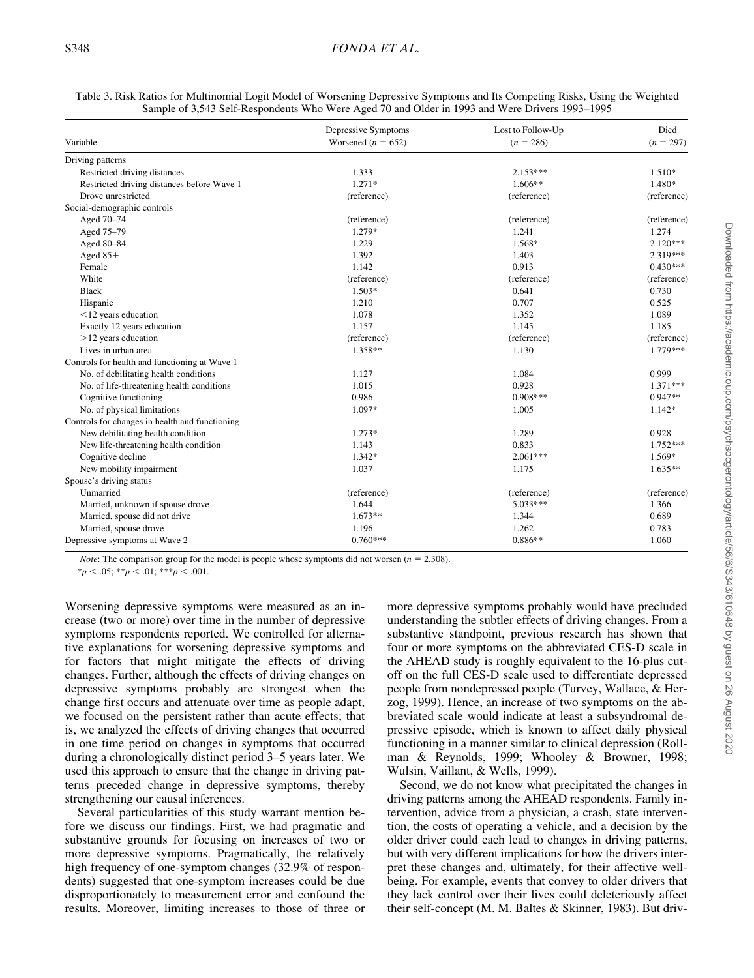| Table 3. Risk Ratios for Multinomial Logit Model of Worsening Depressive Symptoms and Its Competing Risks, Using the Weighted |
|-------------------------------------------------------------------------------------------------------------------------------|
| Sample of 3,543 Self-Respondents Who Were Aged 70 and Older in 1993 and Were Drivers 1993–1995                                |

|                                                | Depressive Symptoms    | Lost to Follow-Up<br>$(n = 286)$ | Died<br>$(n = 297)$ |
|------------------------------------------------|------------------------|----------------------------------|---------------------|
| Variable                                       | Worsened ( $n = 652$ ) |                                  |                     |
| Driving patterns                               |                        |                                  |                     |
| Restricted driving distances                   | 1.333                  | $2.153***$                       | $1.510*$            |
| Restricted driving distances before Wave 1     | $1.271*$               | $1.606**$                        | 1.480*              |
| Drove unrestricted                             | (reference)            | (reference)                      | (reference)         |
| Social-demographic controls                    |                        |                                  |                     |
| Aged 70-74                                     | (reference)            | (reference)                      | (reference)         |
| Aged 75-79                                     | 1.279*                 | 1.241                            | 1.274               |
| Aged 80-84                                     | 1.229                  | 1.568*                           | $2.120***$          |
| Aged $85+$                                     | 1.392                  | 1.403                            | 2.319***            |
| Female                                         | 1.142                  | 0.913                            | $0.430***$          |
| White                                          | (reference)            | (reference)                      | (reference)         |
| <b>Black</b>                                   | $1.503*$               | 0.641                            | 0.730               |
| Hispanic                                       | 1.210                  | 0.707                            | 0.525               |
| $<$ 12 years education                         | 1.078                  | 1.352                            | 1.089               |
| Exactly 12 years education                     | 1.157                  | 1.145                            | 1.185               |
| $>12$ years education                          | (reference)            | (reference)                      | (reference)         |
| Lives in urban area                            | 1.358**                | 1.130                            | 1.779***            |
| Controls for health and functioning at Wave 1  |                        |                                  |                     |
| No. of debilitating health conditions          | 1.127                  | 1.084                            | 0.999               |
| No. of life-threatening health conditions      | 1.015                  | 0.928                            | $1.371***$          |
| Cognitive functioning                          | 0.986                  | $0.908***$                       | $0.947**$           |
| No. of physical limitations                    | 1.097*                 | 1.005                            | $1.142*$            |
| Controls for changes in health and functioning |                        |                                  |                     |
| New debilitating health condition              | 1.273*                 | 1.289                            | 0.928               |
| New life-threatening health condition          | 1.143                  | 0.833                            | $1.752***$          |
| Cognitive decline                              | $1.342*$               | $2.061***$                       | 1.569*              |
| New mobility impairment                        | 1.037                  | 1.175                            | $1.635**$           |
| Spouse's driving status                        |                        |                                  |                     |
| Unmarried                                      | (reference)            | (reference)                      | (reference)         |
| Married, unknown if spouse drove               | 1.644                  | 5.033***                         | 1.366               |
| Married, spouse did not drive                  | $1.673**$              | 1.344                            | 0.689               |
| Married, spouse drove                          | 1.196                  | 1.262                            | 0.783               |
| Depressive symptoms at Wave 2                  | $0.760***$             | $0.886**$                        | 1.060               |

*Note*: The comparison group for the model is people whose symptoms did not worsen  $(n = 2,308)$ .

 $*_{p}$  < .05; \*\**p* < .01; \*\*\**p* < .001.

Worsening depressive symptoms were measured as an increase (two or more) over time in the number of depressive symptoms respondents reported. We controlled for alternative explanations for worsening depressive symptoms and for factors that might mitigate the effects of driving changes. Further, although the effects of driving changes on depressive symptoms probably are strongest when the change first occurs and attenuate over time as people adapt, we focused on the persistent rather than acute effects; that is, we analyzed the effects of driving changes that occurred in one time period on changes in symptoms that occurred during a chronologically distinct period 3–5 years later. We used this approach to ensure that the change in driving patterns preceded change in depressive symptoms, thereby strengthening our causal inferences.

Several particularities of this study warrant mention before we discuss our findings. First, we had pragmatic and substantive grounds for focusing on increases of two or more depressive symptoms. Pragmatically, the relatively high frequency of one-symptom changes (32.9% of respondents) suggested that one-symptom increases could be due disproportionately to measurement error and confound the results. Moreover, limiting increases to those of three or more depressive symptoms probably would have precluded understanding the subtler effects of driving changes. From a substantive standpoint, previous research has shown that four or more symptoms on the abbreviated CES-D scale in the AHEAD study is roughly equivalent to the 16-plus cutoff on the full CES-D scale used to differentiate depressed people from nondepressed people (Turvey, Wallace, & Herzog, 1999). Hence, an increase of two symptoms on the abbreviated scale would indicate at least a subsyndromal depressive episode, which is known to affect daily physical functioning in a manner similar to clinical depression (Rollman & Reynolds, 1999; Whooley & Browner, 1998; Wulsin, Vaillant, & Wells, 1999).

Second, we do not know what precipitated the changes in driving patterns among the AHEAD respondents. Family intervention, advice from a physician, a crash, state intervention, the costs of operating a vehicle, and a decision by the older driver could each lead to changes in driving patterns, but with very different implications for how the drivers interpret these changes and, ultimately, for their affective wellbeing. For example, events that convey to older drivers that they lack control over their lives could deleteriously affect their self-concept (M. M. Baltes & Skinner, 1983). But driv-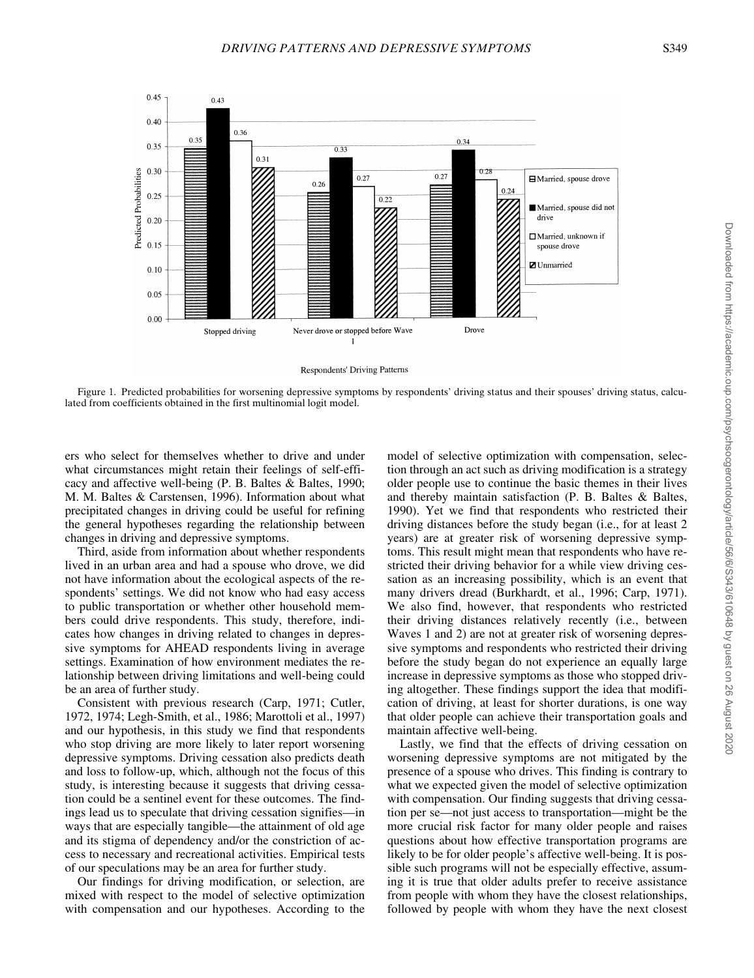

Respondents' Driving Patterns

Figure 1. Predicted probabilities for worsening depressive symptoms by respondents' driving status and their spouses' driving status, calculated from coefficients obtained in the first multinomial logit model.

ers who select for themselves whether to drive and under what circumstances might retain their feelings of self-efficacy and affective well-being (P. B. Baltes & Baltes, 1990; M. M. Baltes & Carstensen, 1996). Information about what precipitated changes in driving could be useful for refining the general hypotheses regarding the relationship between changes in driving and depressive symptoms.

Third, aside from information about whether respondents lived in an urban area and had a spouse who drove, we did not have information about the ecological aspects of the respondents' settings. We did not know who had easy access to public transportation or whether other household members could drive respondents. This study, therefore, indicates how changes in driving related to changes in depressive symptoms for AHEAD respondents living in average settings. Examination of how environment mediates the relationship between driving limitations and well-being could be an area of further study.

Consistent with previous research (Carp, 1971; Cutler, 1972, 1974; Legh-Smith, et al., 1986; Marottoli et al., 1997) and our hypothesis, in this study we find that respondents who stop driving are more likely to later report worsening depressive symptoms. Driving cessation also predicts death and loss to follow-up, which, although not the focus of this study, is interesting because it suggests that driving cessation could be a sentinel event for these outcomes. The findings lead us to speculate that driving cessation signifies—in ways that are especially tangible—the attainment of old age and its stigma of dependency and/or the constriction of access to necessary and recreational activities. Empirical tests of our speculations may be an area for further study.

Our findings for driving modification, or selection, are mixed with respect to the model of selective optimization with compensation and our hypotheses. According to the

model of selective optimization with compensation, selection through an act such as driving modification is a strategy older people use to continue the basic themes in their lives and thereby maintain satisfaction (P. B. Baltes & Baltes, 1990). Yet we find that respondents who restricted their driving distances before the study began (i.e., for at least 2 years) are at greater risk of worsening depressive symptoms. This result might mean that respondents who have restricted their driving behavior for a while view driving cessation as an increasing possibility, which is an event that many drivers dread (Burkhardt, et al., 1996; Carp, 1971). We also find, however, that respondents who restricted their driving distances relatively recently (i.e., between Waves 1 and 2) are not at greater risk of worsening depressive symptoms and respondents who restricted their driving before the study began do not experience an equally large increase in depressive symptoms as those who stopped driving altogether. These findings support the idea that modification of driving, at least for shorter durations, is one way that older people can achieve their transportation goals and maintain affective well-being.

Lastly, we find that the effects of driving cessation on worsening depressive symptoms are not mitigated by the presence of a spouse who drives. This finding is contrary to what we expected given the model of selective optimization with compensation. Our finding suggests that driving cessation per se—not just access to transportation—might be the more crucial risk factor for many older people and raises questions about how effective transportation programs are likely to be for older people's affective well-being. It is possible such programs will not be especially effective, assuming it is true that older adults prefer to receive assistance from people with whom they have the closest relationships, followed by people with whom they have the next closest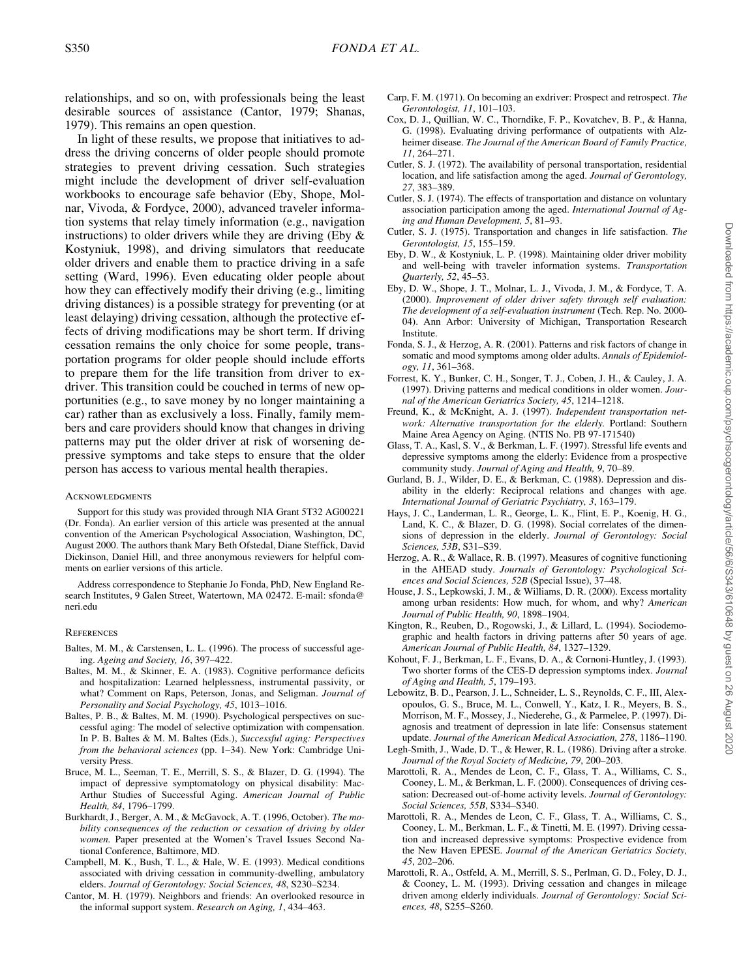relationships, and so on, with professionals being the least desirable sources of assistance (Cantor, 1979; Shanas, 1979). This remains an open question.

In light of these results, we propose that initiatives to address the driving concerns of older people should promote strategies to prevent driving cessation. Such strategies might include the development of driver self-evaluation workbooks to encourage safe behavior (Eby, Shope, Molnar, Vivoda, & Fordyce, 2000), advanced traveler information systems that relay timely information (e.g., navigation instructions) to older drivers while they are driving (Eby  $\&$ Kostyniuk, 1998), and driving simulators that reeducate older drivers and enable them to practice driving in a safe setting (Ward, 1996). Even educating older people about how they can effectively modify their driving (e.g., limiting driving distances) is a possible strategy for preventing (or at least delaying) driving cessation, although the protective effects of driving modifications may be short term. If driving cessation remains the only choice for some people, transportation programs for older people should include efforts to prepare them for the life transition from driver to exdriver. This transition could be couched in terms of new opportunities (e.g., to save money by no longer maintaining a car) rather than as exclusively a loss. Finally, family members and care providers should know that changes in driving patterns may put the older driver at risk of worsening depressive symptoms and take steps to ensure that the older person has access to various mental health therapies.

#### **ACKNOWLEDGMENTS**

Support for this study was provided through NIA Grant 5T32 AG00221 (Dr. Fonda). An earlier version of this article was presented at the annual convention of the American Psychological Association, Washington, DC, August 2000. The authors thank Mary Beth Ofstedal, Diane Steffick, David Dickinson, Daniel Hill, and three anonymous reviewers for helpful comments on earlier versions of this article.

Address correspondence to Stephanie Jo Fonda, PhD, New England Research Institutes, 9 Galen Street, Watertown, MA 02472. E-mail: sfonda@ neri.edu

#### **REFERENCES**

- Baltes, M. M., & Carstensen, L. L. (1996). The process of successful ageing. *Ageing and Society, 16*, 397–422.
- Baltes, M. M., & Skinner, E. A. (1983). Cognitive performance deficits and hospitalization: Learned helplessness, instrumental passivity, or what? Comment on Raps, Peterson, Jonas, and Seligman. *Journal of Personality and Social Psychology, 45*, 1013–1016.
- Baltes, P. B., & Baltes, M. M. (1990). Psychological perspectives on successful aging: The model of selective optimization with compensation. In P. B. Baltes & M. M. Baltes (Eds.), *Successful aging: Perspectives from the behavioral sciences* (pp. 1–34). New York: Cambridge University Press.
- Bruce, M. L., Seeman, T. E., Merrill, S. S., & Blazer, D. G. (1994). The impact of depressive symptomatology on physical disability: Mac-Arthur Studies of Successful Aging. *American Journal of Public Health, 84*, 1796–1799.
- Burkhardt, J., Berger, A. M., & McGavock, A. T. (1996, October). *The mobility consequences of the reduction or cessation of driving by older women.* Paper presented at the Women's Travel Issues Second National Conference, Baltimore, MD.
- Campbell, M. K., Bush, T. L., & Hale, W. E. (1993). Medical conditions associated with driving cessation in community-dwelling, ambulatory elders. *Journal of Gerontology: Social Sciences, 48*, S230–S234.
- Cantor, M. H. (1979). Neighbors and friends: An overlooked resource in the informal support system. *Research on Aging, 1*, 434–463.
- Carp, F. M. (1971). On becoming an exdriver: Prospect and retrospect. *The Gerontologist, 11*, 101–103.
- Cox, D. J., Quillian, W. C., Thorndike, F. P., Kovatchev, B. P., & Hanna, G. (1998). Evaluating driving performance of outpatients with Alzheimer disease. *The Journal of the American Board of Family Practice, 11*, 264–271.
- Cutler, S. J. (1972). The availability of personal transportation, residential location, and life satisfaction among the aged. *Journal of Gerontology, 27*, 383–389.
- Cutler, S. J. (1974). The effects of transportation and distance on voluntary association participation among the aged. *International Journal of Aging and Human Development, 5*, 81–93.
- Cutler, S. J. (1975). Transportation and changes in life satisfaction. *The Gerontologist, 15*, 155–159.
- Eby, D. W., & Kostyniuk, L. P. (1998). Maintaining older driver mobility and well-being with traveler information systems. *Transportation Quarterly, 52*, 45–53.
- Eby, D. W., Shope, J. T., Molnar, L. J., Vivoda, J. M., & Fordyce, T. A. (2000). *Improvement of older driver safety through self evaluation: The development of a self-evaluation instrument* (Tech. Rep. No. 2000- 04). Ann Arbor: University of Michigan, Transportation Research Institute.
- Fonda, S. J., & Herzog, A. R. (2001). Patterns and risk factors of change in somatic and mood symptoms among older adults. *Annals of Epidemiology, 11*, 361–368.
- Forrest, K. Y., Bunker, C. H., Songer, T. J., Coben, J. H., & Cauley, J. A. (1997). Driving patterns and medical conditions in older women. *Journal of the American Geriatrics Society, 45*, 1214–1218.
- Freund, K., & McKnight, A. J. (1997). *Independent transportation network: Alternative transportation for the elderly.* Portland: Southern Maine Area Agency on Aging. (NTIS No. PB 97-171540)
- Glass, T. A., Kasl, S. V., & Berkman, L. F. (1997). Stressful life events and depressive symptoms among the elderly: Evidence from a prospective community study. *Journal of Aging and Health, 9*, 70–89.
- Gurland, B. J., Wilder, D. E., & Berkman, C. (1988). Depression and disability in the elderly: Reciprocal relations and changes with age. *International Journal of Geriatric Psychiatry, 3*, 163–179.
- Hays, J. C., Landerman, L. R., George, L. K., Flint, E. P., Koenig, H. G., Land, K. C., & Blazer, D. G. (1998). Social correlates of the dimensions of depression in the elderly. *Journal of Gerontology: Social Sciences, 53B*, S31–S39.
- Herzog, A. R., & Wallace, R. B. (1997). Measures of cognitive functioning in the AHEAD study. *Journals of Gerontology: Psychological Sciences and Social Sciences, 52B* (Special Issue), 37–48.
- House, J. S., Lepkowski, J. M., & Williams, D. R. (2000). Excess mortality among urban residents: How much, for whom, and why? *American Journal of Public Health, 90*, 1898–1904.
- Kington, R., Reuben, D., Rogowski, J., & Lillard, L. (1994). Sociodemographic and health factors in driving patterns after 50 years of age. *American Journal of Public Health, 84*, 1327–1329.
- Kohout, F. J., Berkman, L. F., Evans, D. A., & Cornoni-Huntley, J. (1993). Two shorter forms of the CES-D depression symptoms index. *Journal of Aging and Health, 5*, 179–193.
- Lebowitz, B. D., Pearson, J. L., Schneider, L. S., Reynolds, C. F., III, Alexopoulos, G. S., Bruce, M. L., Conwell, Y., Katz, I. R., Meyers, B. S., Morrison, M. F., Mossey, J., Niederehe, G., & Parmelee, P. (1997). Diagnosis and treatment of depression in late life: Consensus statement update. *Journal of the American Medical Association, 278*, 1186–1190.
- Legh-Smith, J., Wade, D. T., & Hewer, R. L. (1986). Driving after a stroke. *Journal of the Royal Society of Medicine, 79*, 200–203.
- Marottoli, R. A., Mendes de Leon, C. F., Glass, T. A., Williams, C. S., Cooney, L. M., & Berkman, L. F. (2000). Consequences of driving cessation: Decreased out-of-home activity levels. *Journal of Gerontology: Social Sciences, 55B*, S334–S340.
- Marottoli, R. A., Mendes de Leon, C. F., Glass, T. A., Williams, C. S., Cooney, L. M., Berkman, L. F., & Tinetti, M. E. (1997). Driving cessation and increased depressive symptoms: Prospective evidence from the New Haven EPESE. *Journal of the American Geriatrics Society, 45*, 202–206.
- Marottoli, R. A., Ostfeld, A. M., Merrill, S. S., Perlman, G. D., Foley, D. J., & Cooney, L. M. (1993). Driving cessation and changes in mileage driven among elderly individuals. *Journal of Gerontology: Social Sciences, 48*, S255–S260.